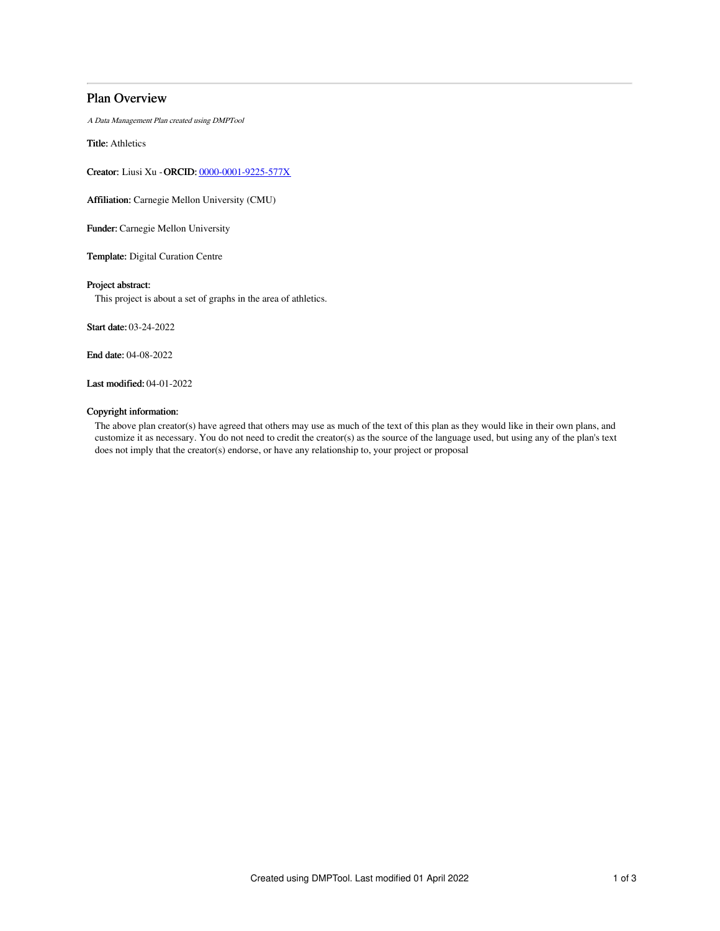# Plan Overview

A Data Management Plan created using DMPTool

Title: Athletics

Creator: Liusi Xu -ORCID: [0000-0001-9225-577X](https://orcid.org/0000-0001-9225-577X)

Affiliation: Carnegie Mellon University (CMU)

Funder: Carnegie Mellon University

Template: Digital Curation Centre

## Project abstract:

This project is about a set of graphs in the area of athletics.

Start date: 03-24-2022

End date: 04-08-2022

Last modified: 04-01-2022

#### Copyright information:

The above plan creator(s) have agreed that others may use as much of the text of this plan as they would like in their own plans, and customize it as necessary. You do not need to credit the creator(s) as the source of the language used, but using any of the plan's text does not imply that the creator(s) endorse, or have any relationship to, your project or proposal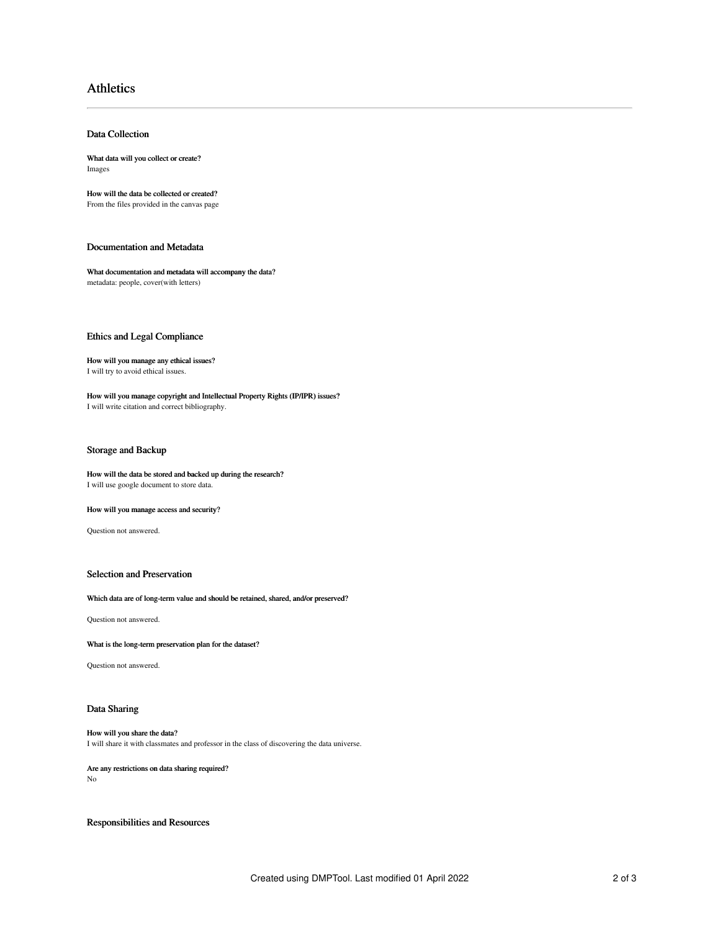# Athletics

## Data Collection

What data will you collect or create? Images

How will the data be collected or created? From the files provided in the canvas page

## Documentation and Metadata

What documentation and metadata will accompany the data? metadata: people, cover(with letters)

# Ethics and Legal Compliance

# How will you manage any ethical issues?

I will try to avoid ethical issues.

How will you manage copyright and Intellectual Property Rights (IP/IPR) issues? I will write citation and correct bibliography.

## Storage and Backup

How will the data be stored and backed up during the research? I will use google document to store data.

#### How will you manage access and security?

Question not answered.

# Selection and Preservation

#### Which data are of long-term value and should be retained, shared, and/or preserved?

Question not answered.

What is the long-term preservation plan for the dataset?

Question not answered.

## Data Sharing

#### How will you share the data? I will share it with classmates and professor in the class of discovering the data universe.

# Are any restrictions on data sharing required?

No

Responsibilities and Resources